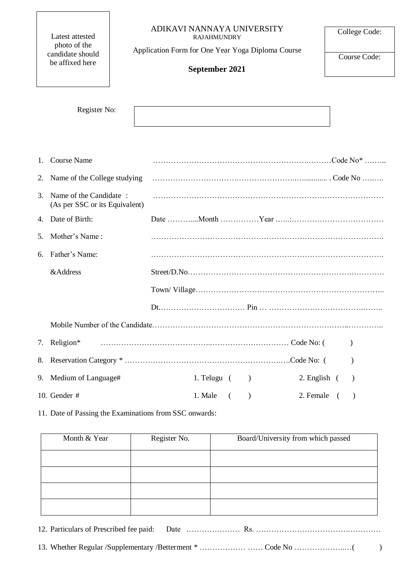### ADIKAVI NANNAYA UNIVERSITY RAJAHMUNDRY

Latest attested photo of the candidate should be affixed here

Application Form for One Year Yoga Diploma Course

# **September 2021**

Course Code:

College Code:

| Register No: |  |
|--------------|--|
|              |  |

|         | 1. Course Name                                           |                                                   |
|---------|----------------------------------------------------------|---------------------------------------------------|
|         | 2. Name of the College studying                          |                                                   |
| $3_{-}$ | Name of the Candidate:<br>(As per SSC or its Equivalent) |                                                   |
|         | 4. Date of Birth:                                        |                                                   |
|         | 5. Mother's Name:                                        |                                                   |
|         | 6. Father's Name:                                        |                                                   |
|         | &Address                                                 |                                                   |
|         |                                                          |                                                   |
|         |                                                          |                                                   |
|         |                                                          |                                                   |
| 7.      |                                                          |                                                   |
|         |                                                          | $\lambda$                                         |
|         | 9. Medium of Language#                                   | $2.$ English $($<br>1. Telugu $($ $)$             |
|         | 10. Gender $#$                                           | $\lambda$<br>1. Male<br>2. Female (<br>$\sqrt{2}$ |

11. Date of Passing the Examinations from SSC onwards:

| Month & Year | Register No. | Board/University from which passed |
|--------------|--------------|------------------------------------|
|              |              |                                    |
|              |              |                                    |
|              |              |                                    |
|              |              |                                    |

12. Particulars of Prescribed fee paid: Date …………………………………………………………………………………………… 13. Whether Regular /Supplementary /Betterment \* ……………… …… Code No ………………..…( )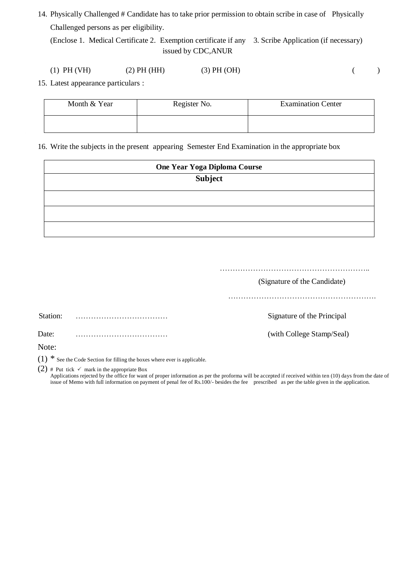14. Physically Challenged # Candidate has to take prior permission to obtain scribe in case of Physically Challenged persons as per eligibility.

(Enclose 1. Medical Certificate 2. Exemption certificate if any 3. Scribe Application (if necessary) issued by CDC,ANUR

15. Latest appearance particulars :

| Month & Year | Register No. | <b>Examination Center</b> |
|--------------|--------------|---------------------------|
|              |              |                           |

16. Write the subjects in the present appearing Semester End Examination in the appropriate box

| One Year Yoga Diploma Course |  |  |  |
|------------------------------|--|--|--|
| <b>Subject</b>               |  |  |  |
|                              |  |  |  |
|                              |  |  |  |
|                              |  |  |  |

……………………………………………………………… (Signature of the Candidate) …………………………………………………. Station: ……………………………… Signature of the Principal

Date: ……………………………… (with College Stamp/Seal)

Note:

(1)  $*$  See the Code Section for filling the boxes where ever is applicable.

(2) # Put tick  $\checkmark$  mark in the appropriate Box

Applications rejected by the office for want of proper information as per the proforma will be accepted if received within ten (10) days from the date of issue of Memo with full information on payment of penal fee of Rs.100/- besides the fee prescribed as per the table given in the application.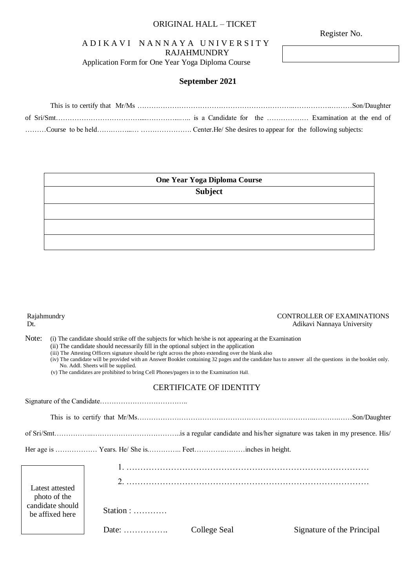## ORIGINAL HALL – TICKET

Register No.

# A D I K A V I N A N N A Y A U N I V E R S I T Y RAJAHMUNDRY

Application Form for One Year Yoga Diploma Course

# **September 2021**

| One Year Yoga Diploma Course |  |  |
|------------------------------|--|--|
| <b>Subject</b>               |  |  |
|                              |  |  |
|                              |  |  |
|                              |  |  |
|                              |  |  |

#### Rajahmundry CONTROLLER OF EXAMINATIONS Dt. Adikavi Nannaya University

Note: (i) The candidate should strike off the subjects for which he/she is not appearing at the Examination

(ii) The candidate should necessarily fill in the optional subject in the application

(iii) The Attesting Officers signature should be right across the photo extending over the blank also

(iv) The candidate will be provided with an Answer Booklet containing 32 pages and the candidate has to answer all the questions in the booklet only. No. Addl. Sheets will be supplied.

(v) The candidates are prohibited to bring Cell Phones/pagers in to the Examination Hall.

# CERTIFICATE OF IDENTITY

Signature of the Candidate………………………………..

This is to certify that Mr/Ms…………………………………………………………………..……….……Son/Daughter

of Sri/Smt……………..………………………………..is a regular candidate and his/her signature was taken in my presence. His/

Her age is ……………… Years. He/ She is.………….. Feet………….………inches in height.

| Latest attested<br>photo of the     |                                        |              |                            |
|-------------------------------------|----------------------------------------|--------------|----------------------------|
| candidate should<br>be affixed here | Station : $\dots$                      |              |                            |
|                                     | Date: $\dots\dots\dots\dots\dots\dots$ | College Seal | Signature of the Principal |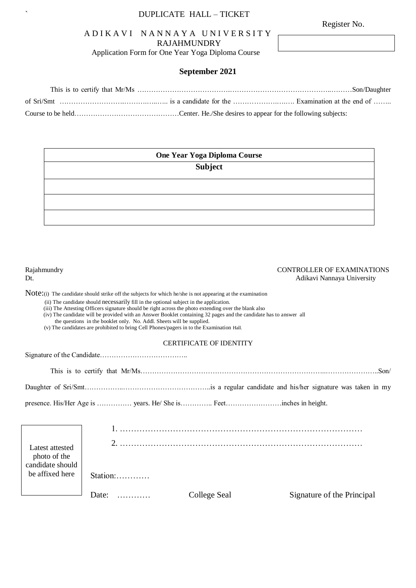# ` DUPLICATE HALL – TICKET

# A D I K A V I N A N N A Y A U N I V E R S I T Y RAJAHMUNDRY

Application Form for One Year Yoga Diploma Course

# **September 2021**

| One Year Yoga Diploma Course |  |  |
|------------------------------|--|--|
| Subject                      |  |  |
|                              |  |  |
|                              |  |  |
|                              |  |  |
|                              |  |  |

| Rajahmundry<br>Dt.<br>Note: (i) The candidate should strike off the subjects for which he/she is not appearing at the examination | (ii) The candidate should necessarily fill in the optional subject in the application.<br>(iii) The Attesting Officers signature should be right across the photo extending over the blank also | <b>CONTROLLER OF EXAMINATIONS</b><br>Adikavi Nannaya University       |                                                                                                                                                                                                                 |                            |
|-----------------------------------------------------------------------------------------------------------------------------------|-------------------------------------------------------------------------------------------------------------------------------------------------------------------------------------------------|-----------------------------------------------------------------------|-----------------------------------------------------------------------------------------------------------------------------------------------------------------------------------------------------------------|----------------------------|
|                                                                                                                                   |                                                                                                                                                                                                 | the questions in the booklet only. No. Addl. Sheets will be supplied. | (iv) The candidate will be provided with an Answer Booklet containing 32 pages and the candidate has to answer all<br>(v) The candidates are prohibited to bring Cell Phones/pagers in to the Examination Hall. |                            |
|                                                                                                                                   |                                                                                                                                                                                                 |                                                                       | <b>CERTIFICATE OF IDENTITY</b>                                                                                                                                                                                  |                            |
|                                                                                                                                   |                                                                                                                                                                                                 |                                                                       |                                                                                                                                                                                                                 |                            |
|                                                                                                                                   |                                                                                                                                                                                                 |                                                                       |                                                                                                                                                                                                                 |                            |
|                                                                                                                                   |                                                                                                                                                                                                 |                                                                       |                                                                                                                                                                                                                 |                            |
|                                                                                                                                   |                                                                                                                                                                                                 |                                                                       |                                                                                                                                                                                                                 |                            |
|                                                                                                                                   |                                                                                                                                                                                                 |                                                                       |                                                                                                                                                                                                                 |                            |
| Latest attested<br>photo of the<br>candidate should                                                                               |                                                                                                                                                                                                 |                                                                       |                                                                                                                                                                                                                 |                            |
| be affixed here                                                                                                                   | $Station: \ldots$                                                                                                                                                                               |                                                                       |                                                                                                                                                                                                                 |                            |
|                                                                                                                                   | Date: $\ldots$                                                                                                                                                                                  |                                                                       | College Seal                                                                                                                                                                                                    | Signature of the Principal |

Register No.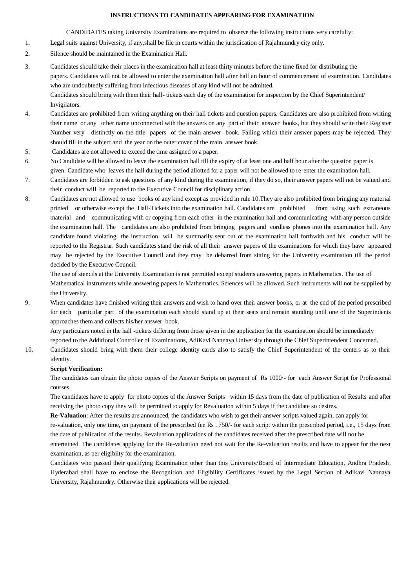#### **INSTRUCTIONS TO CANDIDATES APPEARING FOR EXAMINATION**

#### CANDIDATES taking University Examinations are required to observe the following instructions very carefully:

- 1. Legal suits against University, if any,shall be file in courts within the jurisdication of Rajahmundry city only.
- 2. Silence should be maintained in the Examination Hall.
- 3. Candidates should take their places in the examination hall at least thirty minutes before the time fixed for distributing the papers. Candidates will not be allowed to enter the examination hall after half an hour of commencement of examination. Candidates who are undoubtedly suffering from infectious diseases of any kind will not be admitted. Candidates should bring with them their hall- tickets each day of the examination for inspection by the Chief Superintendent/ Invigilators.
- 4. Candidates are prohibited from writing anything on their hall tickets and question papers. Candidates are also prohibited from writing their name or any other name unconnected with the answers on any part of their answer books, but they should write their Register Number very distinctly on the title papers of the main answer book. Failing which their answer papers may be rejected. They should fill in the subject and the year on the outer cover of the main answer book.
- 5. Candidates are not allowed to exceed the time assigned to a paper.
- 6. No Candidate will be allowed to leave the examination hall till the expiry of at least one and half hour after the question paper is given. Candidate who leaves the hall during the period allotted for a paper will not be allowed to re-enter the examination hall.
- 7. Candidates are forbidden to ask questions of any kind during the examination, if they do so, their answer papers will not be valued and their conduct will be reported to the Executive Council for disciplinary action.
- 8. Candidates are not allowed to use books of any kind except as provided in rule 10.They are also prohibited from bringing any material printed or otherwise except the Hall-Tickets into the examination hall. Candidates are prohibited from using such extraneous material and communicating with or copying from each other in the examination hall and communicating with any person outside the examination hall. The candidates are also prohibited from bringing pagers and cordless phones into the examination hall. Any candidate found violating the instruction will be summarily sent out of the examination hall forthwith and his conduct will be reported to the Registrar. Such candidates stand the risk of all their answer papers of the examinations for which they have appeared may be rejected by the Executive Council and they may be debarred from sitting for the University examination till the period decided by the Executive Council.

 The use of stencils at the University Examination is not permitted except students answering papers in Mathematics. The use of Mathematical instruments while answering papers in Mathematics. Sciences will be allowed. Such instruments will not be supplied by the University.

9. When candidates have finished writing their answers and wish to hand over their answer books, or at the end of the period prescribed for each particular part of the examination each should stand up at their seats and remain standing until one of the Superindents approaches them and collects his/her answer book.

 Any particulars noted in the hall -tickets differing from those given in the application for the examination should be immediately reported to the Additional Controller of Examinations, AdiKavi Nannaya University through the Chief Superintendent Concerned.

10. Candidates should bring with them their college identity cards also to satisfy the Chief Superintendent of the centers as to their identity.

#### **Script Verification:**

The candidates can obtain the photo copies of the Answer Scripts on payment of Rs 1000/- for each Answer Script for Professional courses.

The candidates have to apply for photo copies of the Answer Scripts within 15 days from the date of publication of Results and after receiving the photo copy they will be permitted to apply for Revaluation within 5 days if the candidate so desires.

**Re-Valuation**: After the results are announced, the candidates who wish to get their answer scripts valued again, can apply for

re-valuation, only one time, on payment of the prescribed fee Rs . 750/- for each script within the prescribed period, i.e., 15 days from the date of publication of the results. Revaluation applications of the candidates received after the prescribed date will not be

entertained. The candidates applying for the Re-valuation need not wait for the Re-valuation results and have to appear for the next examination, as per eligibilty for the examination.

Candidates who passed their qualifying Examination other than this University/Board of Intermediate Education, Andhra Pradesh, Hyderabad shall have to enclose the Recognition and Eligibility Certificates issued by the Legal Section of Adikavi Nannaya University, Rajahmundry. Otherwise their applications will be rejected.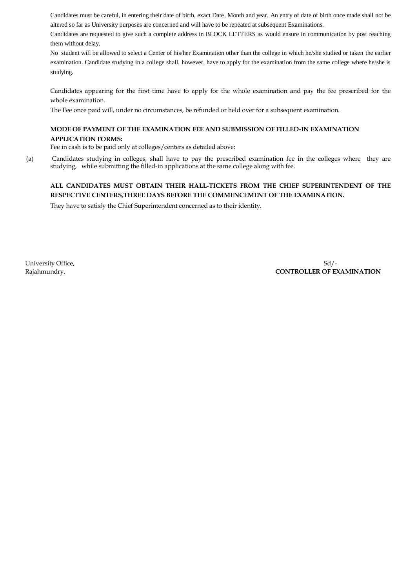Candidates must be careful, in entering their date of birth, exact Date, Month and year. An entry of date of birth once made shall not be altered so far as University purposes are concerned and will have to be repeated at subsequent Examinations.

Candidates are requested to give such a complete address in BLOCK LETTERS as would ensure in communication by post reaching them without delay.

No student will be allowed to select a Center of his/her Examination other than the college in which he/she studied or taken the earlier examination. Candidate studying in a college shall, however, have to apply for the examination from the same college where he/she is studying.

Candidates appearing for the first time have to apply for the whole examination and pay the fee prescribed for the whole examination.

The Fee once paid will, under no circumstances, be refunded or held over for a subsequent examination.

## **MODE OF PAYMENT OF THE EXAMINATION FEE AND SUBMISSION OF FILLED-IN EXAMINATION APPLICATION FORMS:**

Fee in cash is to be paid only at colleges/centers as detailed above:

(a) Candidates studying in colleges, shall have to pay the prescribed examination fee in the colleges where they are studying, while submitting the filled-in applications at the same college along with fee.

# **ALL CANDIDATES MUST OBTAIN THEIR HALL-TICKETS FROM THE CHIEF SUPERINTENDENT OF THE RESPECTIVE CENTERS,THREE DAYS BEFORE THE COMMENCEMENT OF THE EXAMINATION.**

They have to satisfy the Chief Superintendent concerned as to their identity.

University Office, Sollar Sollars and Sollars Sollars and Sollars Sollars Sollars Sollars Sollars Sollars Sollars Sollars Sollars Sollars Sollars Sollars Sollars Sollars Sollars Sollars Sollars Sollars Sollars Sollars Soll Rajahmundry. **CONTROLLER OF EXAMINATION**